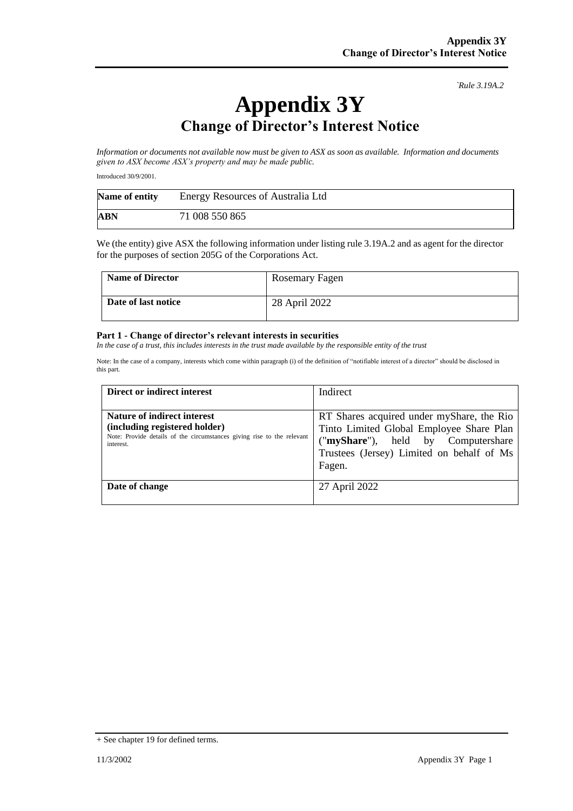*`Rule 3.19A.2*

## **Appendix 3Y Change of Director's Interest Notice**

*Information or documents not available now must be given to ASX as soon as available. Information and documents given to ASX become ASX's property and may be made public.*

Introduced 30/9/2001.

| Name of entity | Energy Resources of Australia Ltd |  |
|----------------|-----------------------------------|--|
| ABN            | 71 008 550 865                    |  |

We (the entity) give ASX the following information under listing rule 3.19A.2 and as agent for the director for the purposes of section 205G of the Corporations Act.

| <b>Name of Director</b> | Rosemary Fagen |
|-------------------------|----------------|
| Date of last notice     | 28 April 2022  |

## **Part 1 - Change of director's relevant interests in securities**

*In the case of a trust, this includes interests in the trust made available by the responsible entity of the trust* 

Note: In the case of a company, interests which come within paragraph (i) of the definition of "notifiable interest of a director" should be disclosed in this part.

| Direct or indirect interest                                                                                                                         | Indirect                                                                                                                                                                           |
|-----------------------------------------------------------------------------------------------------------------------------------------------------|------------------------------------------------------------------------------------------------------------------------------------------------------------------------------------|
| Nature of indirect interest<br>(including registered holder)<br>Note: Provide details of the circumstances giving rise to the relevant<br>interest. | RT Shares acquired under myShare, the Rio<br>Tinto Limited Global Employee Share Plan<br>("myShare"), held by Computershare<br>Trustees (Jersey) Limited on behalf of Ms<br>Fagen. |
| Date of change                                                                                                                                      | 27 April 2022                                                                                                                                                                      |

<sup>+</sup> See chapter 19 for defined terms.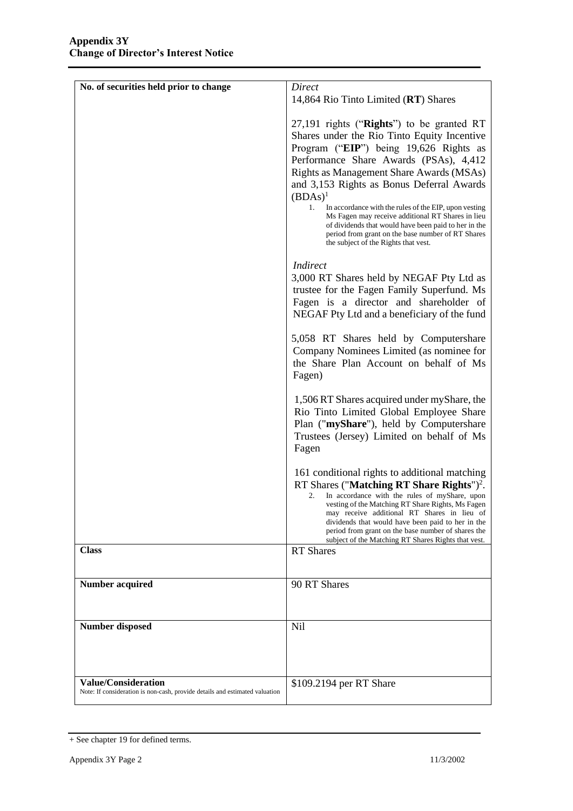| No. of securities held prior to change                                      | Direct                                                                                                    |
|-----------------------------------------------------------------------------|-----------------------------------------------------------------------------------------------------------|
|                                                                             | 14,864 Rio Tinto Limited (RT) Shares                                                                      |
|                                                                             |                                                                                                           |
|                                                                             | 27,191 rights (" $Right's$ ") to be granted RT                                                            |
|                                                                             | Shares under the Rio Tinto Equity Incentive                                                               |
|                                                                             | Program ("EIP") being 19,626 Rights as                                                                    |
|                                                                             | Performance Share Awards (PSAs), 4,412                                                                    |
|                                                                             | Rights as Management Share Awards (MSAs)                                                                  |
|                                                                             | and 3,153 Rights as Bonus Deferral Awards                                                                 |
|                                                                             | $(BDAs)^1$                                                                                                |
|                                                                             | 1.<br>In accordance with the rules of the EIP, upon vesting                                               |
|                                                                             | Ms Fagen may receive additional RT Shares in lieu<br>of dividends that would have been paid to her in the |
|                                                                             | period from grant on the base number of RT Shares                                                         |
|                                                                             | the subject of the Rights that vest.                                                                      |
|                                                                             | <b>Indirect</b>                                                                                           |
|                                                                             | 3,000 RT Shares held by NEGAF Pty Ltd as                                                                  |
|                                                                             | trustee for the Fagen Family Superfund. Ms                                                                |
|                                                                             | Fagen is a director and shareholder of                                                                    |
|                                                                             | NEGAF Pty Ltd and a beneficiary of the fund                                                               |
|                                                                             | 5,058 RT Shares held by Computershare                                                                     |
|                                                                             | Company Nominees Limited (as nominee for                                                                  |
|                                                                             | the Share Plan Account on behalf of Ms                                                                    |
|                                                                             | Fagen)                                                                                                    |
|                                                                             |                                                                                                           |
|                                                                             | 1,506 RT Shares acquired under myShare, the<br>Rio Tinto Limited Global Employee Share                    |
|                                                                             | Plan ("myShare"), held by Computershare                                                                   |
|                                                                             | Trustees (Jersey) Limited on behalf of Ms                                                                 |
|                                                                             | Fagen                                                                                                     |
|                                                                             |                                                                                                           |
|                                                                             | 161 conditional rights to additional matching                                                             |
|                                                                             | RT Shares ("Matching RT Share Rights") <sup>2</sup> .                                                     |
|                                                                             | In accordance with the rules of myShare, upon<br>2.<br>vesting of the Matching RT Share Rights, Ms Fagen  |
|                                                                             | may receive additional RT Shares in lieu of<br>dividends that would have been paid to her in the          |
|                                                                             | period from grant on the base number of shares the                                                        |
| <b>Class</b>                                                                | subject of the Matching RT Shares Rights that vest.<br><b>RT</b> Shares                                   |
|                                                                             |                                                                                                           |
|                                                                             |                                                                                                           |
| <b>Number acquired</b>                                                      | 90 RT Shares                                                                                              |
|                                                                             |                                                                                                           |
|                                                                             |                                                                                                           |
| <b>Number disposed</b>                                                      | Nil                                                                                                       |
|                                                                             |                                                                                                           |
|                                                                             |                                                                                                           |
| <b>Value/Consideration</b>                                                  |                                                                                                           |
| Note: If consideration is non-cash, provide details and estimated valuation | \$109.2194 per RT Share                                                                                   |

<sup>+</sup> See chapter 19 for defined terms.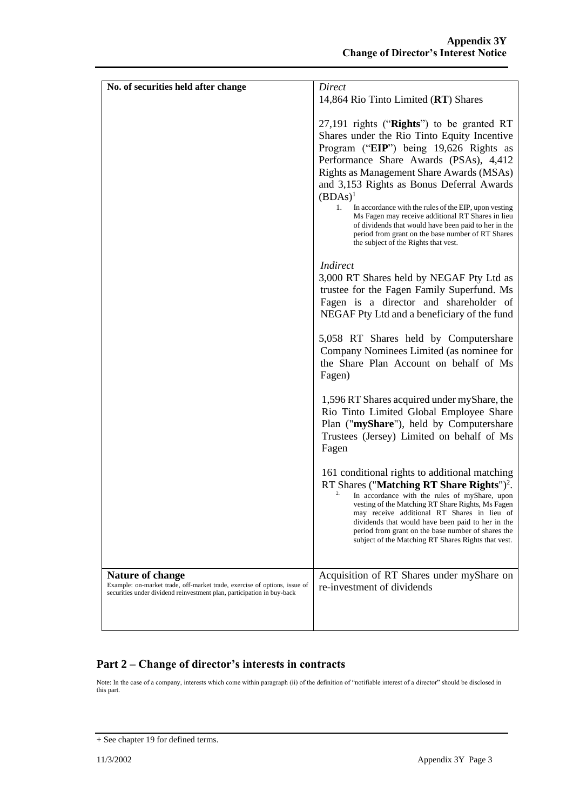| No. of securities held after change                                                                                                                 | <b>Direct</b>                                                                                                                                                                                                                                                                                                                                                                                                                                                                                                                                                |
|-----------------------------------------------------------------------------------------------------------------------------------------------------|--------------------------------------------------------------------------------------------------------------------------------------------------------------------------------------------------------------------------------------------------------------------------------------------------------------------------------------------------------------------------------------------------------------------------------------------------------------------------------------------------------------------------------------------------------------|
|                                                                                                                                                     | 14,864 Rio Tinto Limited (RT) Shares                                                                                                                                                                                                                                                                                                                                                                                                                                                                                                                         |
|                                                                                                                                                     | 27,191 rights ("Rights") to be granted RT<br>Shares under the Rio Tinto Equity Incentive<br>Program ("EIP") being 19,626 Rights as<br>Performance Share Awards (PSAs), 4,412<br>Rights as Management Share Awards (MSAs)<br>and 3,153 Rights as Bonus Deferral Awards<br>$(BDAs)^1$<br>1.<br>In accordance with the rules of the EIP, upon vesting<br>Ms Fagen may receive additional RT Shares in lieu<br>of dividends that would have been paid to her in the<br>period from grant on the base number of RT Shares<br>the subject of the Rights that vest. |
|                                                                                                                                                     | Indirect<br>3,000 RT Shares held by NEGAF Pty Ltd as<br>trustee for the Fagen Family Superfund. Ms<br>Fagen is a director and shareholder of<br>NEGAF Pty Ltd and a beneficiary of the fund                                                                                                                                                                                                                                                                                                                                                                  |
|                                                                                                                                                     | 5,058 RT Shares held by Computershare<br>Company Nominees Limited (as nominee for<br>the Share Plan Account on behalf of Ms<br>Fagen)                                                                                                                                                                                                                                                                                                                                                                                                                        |
|                                                                                                                                                     | 1,596 RT Shares acquired under myShare, the<br>Rio Tinto Limited Global Employee Share<br>Plan ("myShare"), held by Computershare<br>Trustees (Jersey) Limited on behalf of Ms<br>Fagen                                                                                                                                                                                                                                                                                                                                                                      |
|                                                                                                                                                     | 161 conditional rights to additional matching<br>RT Shares ("Matching RT Share Rights") <sup>2</sup> .<br>In accordance with the rules of myShare, upon<br>vesting of the Matching RT Share Rights, Ms Fagen<br>may receive additional RT Shares in lieu of<br>dividends that would have been paid to her in the<br>period from grant on the base number of shares the<br>subject of the Matching RT Shares Rights that vest.                                                                                                                                |
| Nature of change                                                                                                                                    | Acquisition of RT Shares under myShare on                                                                                                                                                                                                                                                                                                                                                                                                                                                                                                                    |
| Example: on-market trade, off-market trade, exercise of options, issue of<br>securities under dividend reinvestment plan, participation in buy-back | re-investment of dividends                                                                                                                                                                                                                                                                                                                                                                                                                                                                                                                                   |
|                                                                                                                                                     |                                                                                                                                                                                                                                                                                                                                                                                                                                                                                                                                                              |

## **Part 2 – Change of director's interests in contracts**

Note: In the case of a company, interests which come within paragraph (ii) of the definition of "notifiable interest of a director" should be disclosed in this part.

<sup>+</sup> See chapter 19 for defined terms.